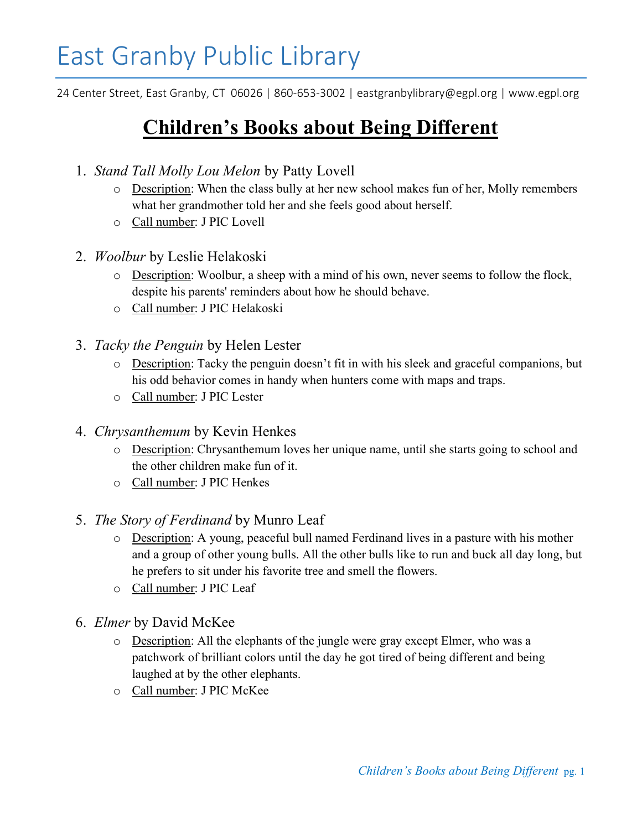## East Granby Public Library

24 Center Street, East Granby, CT 06026 | 860-653-3002 | eastgranbylibrary@egpl.org | www.egpl.org

## Children's Books about Being Different

- 1. Stand Tall Molly Lou Melon by Patty Lovell
	- o Description: When the class bully at her new school makes fun of her, Molly remembers what her grandmother told her and she feels good about herself.
	- o Call number: J PIC Lovell
- 2. Woolbur by Leslie Helakoski
	- o Description: Woolbur, a sheep with a mind of his own, never seems to follow the flock, despite his parents' reminders about how he should behave.
	- o Call number: J PIC Helakoski
- 3. Tacky the Penguin by Helen Lester
	- o Description: Tacky the penguin doesn't fit in with his sleek and graceful companions, but his odd behavior comes in handy when hunters come with maps and traps.
	- o Call number: J PIC Lester
- 4. Chrysanthemum by Kevin Henkes
	- o Description: Chrysanthemum loves her unique name, until she starts going to school and the other children make fun of it.
	- o Call number: J PIC Henkes
- 5. The Story of Ferdinand by Munro Leaf
	- o Description: A young, peaceful bull named Ferdinand lives in a pasture with his mother and a group of other young bulls. All the other bulls like to run and buck all day long, but he prefers to sit under his favorite tree and smell the flowers.
	- o Call number: J PIC Leaf
- 6. Elmer by David McKee
	- o Description: All the elephants of the jungle were gray except Elmer, who was a patchwork of brilliant colors until the day he got tired of being different and being laughed at by the other elephants.
	- o Call number: J PIC McKee